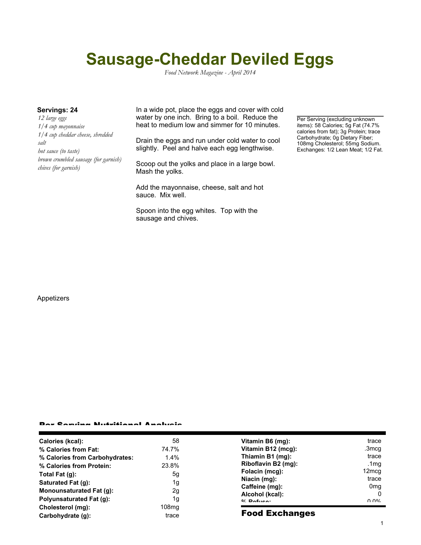# **Sausage-Cheddar Deviled Eggs**

*Food Network Magazine - April 2014*

*12 large eggs 1/4 cup mayonnaise 1/4 cup cheddar cheese, shredded salt hot sauce (to taste) brown crumbled sausage (for garnish) chives (for garnish)*

**Servings: 24** In a wide pot, place the eggs and cover with cold water by one inch. Bring to a boil. Reduce the heat to medium low and simmer for 10 minutes.

> Drain the eggs and run under cold water to cool slightly. Peel and halve each egg lengthwise.

Scoop out the yolks and place in a large bowl. Mash the yolks.

Add the mayonnaise, cheese, salt and hot sauce. Mix well.

Spoon into the egg whites. Top with the sausage and chives.

Per Serving (excluding unknown items): 58 Calories; 5g Fat (74.7% calories from fat); 3g Protein; trace Carbohydrate; 0g Dietary Fiber; 108mg Cholesterol; 55mg Sodium. Exchanges: 1/2 Lean Meat; 1/2 Fat.

#### Appetizers

### Per Serving Nutritional Analysis

| Calories (kcal):                | 58    | Vitamin B6 (mg):      | trace                                 |
|---------------------------------|-------|-----------------------|---------------------------------------|
| % Calories from Fat:            | 74.7% | Vitamin B12 (mcg):    | .3mcg                                 |
| % Calories from Carbohydrates:  | 1.4%  | Thiamin B1 (mg):      | trace                                 |
| % Calories from Protein:        | 23.8% | Riboflavin B2 (mg):   | .1mg                                  |
| Total Fat (g):                  | 5g    | Folacin (mcg):        | 12 <sub>mcq</sub>                     |
| Saturated Fat (g):              | 1g    | Niacin (mg):          | trace                                 |
| Monounsaturated Fat (q):        | 2g    | Caffeine (mg):        | 0 <sub>mq</sub>                       |
| <b>Polyunsaturated Fat (g):</b> | 1g    | Alcohol (kcal):       | 0                                     |
|                                 |       | $0/2$ Pofileon        | $\Omega$ $\Omega$ <sup>o</sup> $\sim$ |
| Cholesterol (mg):               | 108mg | <b>Food Exchanges</b> |                                       |
| Carbohydrate (g):               | trace |                       |                                       |